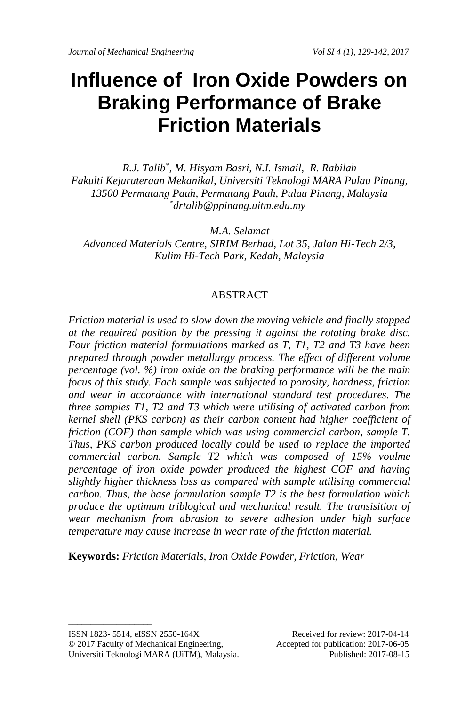# **Influence of Iron Oxide Powders on Braking Performance of Brake Friction Materials**

*R.J. Talib\* , M. Hisyam Basri, N.I. Ismail, R. Rabilah Fakulti Kejuruteraan Mekanikal, Universiti Teknologi MARA Pulau Pinang, 13500 Permatang Pauh, Permatang Pauh, Pulau Pinang, Malaysia \*drtalib@ppinang.uitm.edu.my*

*M.A. Selamat Advanced Materials Centre, SIRIM Berhad, Lot 35, Jalan Hi-Tech 2/3, Kulim Hi-Tech Park, Kedah, Malaysia*

#### ABSTRACT

*Friction material is used to slow down the moving vehicle and finally stopped at the required position by the pressing it against the rotating brake disc. Four friction material formulations marked as T, T1, T2 and T3 have been prepared through powder metallurgy process. The effect of different volume percentage (vol. %) iron oxide on the braking performance will be the main focus of this study. Each sample was subjected to porosity, hardness, friction and wear in accordance with international standard test procedures. The three samples T1, T2 and T3 which were utilising of activated carbon from kernel shell (PKS carbon) as their carbon content had higher coefficient of friction (COF) than sample which was using commercial carbon, sample T. Thus, PKS carbon produced locally could be used to replace the imported commercial carbon. Sample T2 which was composed of 15% voulme percentage of iron oxide powder produced the highest COF and having slightly higher thickness loss as compared with sample utilising commercial carbon. Thus, the base formulation sample T2 is the best formulation which produce the optimum triblogical and mechanical result. The transisition of wear mechanism from abrasion to severe adhesion under high surface temperature may cause increase in wear rate of the friction material.*

**Keywords:** *Friction Materials, Iron Oxide Powder, Friction, Wear*

ISSN 1823- 5514, eISSN 2550-164X Received for review: 2017-04-14 © 2017 Faculty of Mechanical Engineering, Accepted for publication: 2017-06-05 Universiti Teknologi MARA (UiTM), Malaysia. Published: 2017-08-15

 $\_$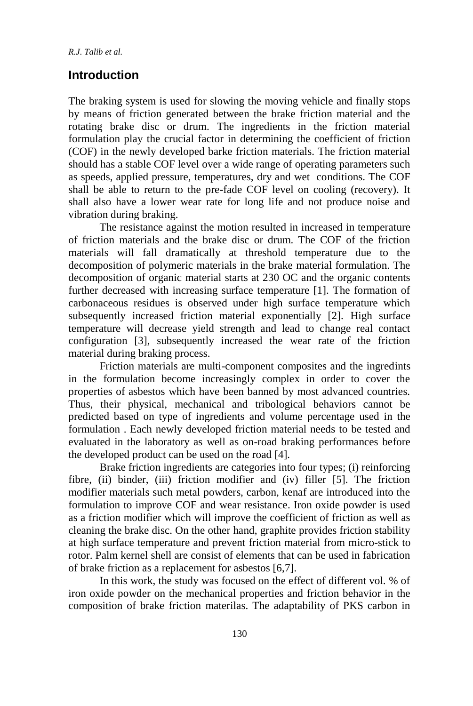# **Introduction**

The braking system is used for slowing the moving vehicle and finally stops by means of friction generated between the brake friction material and the rotating brake disc or drum. The ingredients in the friction material formulation play the crucial factor in determining the coefficient of friction (COF) in the newly developed barke friction materials. The friction material should has a stable COF level over a wide range of operating parameters such as speeds, applied pressure, temperatures, dry and wet conditions. The COF shall be able to return to the pre-fade COF level on cooling (recovery). It shall also have a lower wear rate for long life and not produce noise and vibration during braking.

The resistance against the motion resulted in increased in temperature of friction materials and the brake disc or drum. The COF of the friction materials will fall dramatically at threshold temperature due to the decomposition of polymeric materials in the brake material formulation. The decomposition of organic material starts at 230 OC and the organic contents further decreased with increasing surface temperature [1]. The formation of carbonaceous residues is observed under high surface temperature which subsequently increased friction material exponentially [2]. High surface temperature will decrease yield strength and lead to change real contact configuration [3], subsequently increased the wear rate of the friction material during braking process.

Friction materials are multi-component composites and the ingredints in the formulation become increasingly complex in order to cover the properties of asbestos which have been banned by most advanced countries. Thus, their physical, mechanical and tribological behaviors cannot be predicted based on type of ingredients and volume percentage used in the formulation . Each newly developed friction material needs to be tested and evaluated in the laboratory as well as on-road braking performances before the developed product can be used on the road [4].

Brake friction ingredients are categories into four types; (i) reinforcing fibre, (ii) binder, (iii) friction modifier and (iv) filler [5]. The friction modifier materials such metal powders, carbon, kenaf are introduced into the formulation to improve COF and wear resistance. Iron oxide powder is used as a friction modifier which will improve the coefficient of friction as well as cleaning the brake disc. On the other hand, graphite provides friction stability at high surface temperature and prevent friction material from micro-stick to rotor. Palm kernel shell are consist of elements that can be used in fabrication of brake friction as a replacement for asbestos [6,7].

In this work, the study was focused on the effect of different vol. % of iron oxide powder on the mechanical properties and friction behavior in the composition of brake friction materilas. The adaptability of PKS carbon in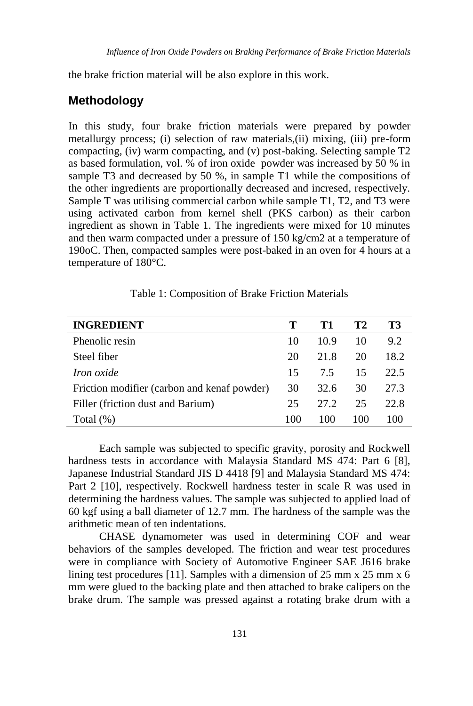the brake friction material will be also explore in this work.

# **Methodology**

In this study, four brake friction materials were prepared by powder metallurgy process; (i) selection of raw materials,(ii) mixing, (iii) pre-form compacting, (iv) warm compacting, and (v) post-baking. Selecting sample T2 as based formulation, vol. % of iron oxide powder was increased by 50 % in sample T3 and decreased by 50 %, in sample T1 while the compositions of the other ingredients are proportionally decreased and incresed, respectively. Sample T was utilising commercial carbon while sample T1, T2, and T3 were using activated carbon from kernel shell (PKS carbon) as their carbon ingredient as shown in Table 1. The ingredients were mixed for 10 minutes and then warm compacted under a pressure of 150 kg/cm2 at a temperature of 190oC. Then, compacted samples were post-baked in an oven for 4 hours at a temperature of 180°C.

| <b>INGREDIENT</b>                           |     | T 1  | T2  | ТЗ   |
|---------------------------------------------|-----|------|-----|------|
| Phenolic resin                              | 10  | 10.9 | 10  | 9.2  |
| Steel fiber                                 | 20  | 21.8 | 20  | 18.2 |
| <i>Iron oxide</i>                           | 15  | 75   | 15  | 22.5 |
| Friction modifier (carbon and kenaf powder) | 30  | 32.6 | 30  | 27.3 |
| Filler (friction dust and Barium)           | 25  | 27.2 | 25  | 22.8 |
| Total (%)                                   | 100 | 100  | 100 | 100  |

Table 1: Composition of Brake Friction Materials

Each sample was subjected to specific gravity, porosity and Rockwell hardness tests in accordance with Malaysia Standard MS 474: Part 6 [8], Japanese Industrial Standard JIS D 4418 [9] and Malaysia Standard MS 474: Part 2 [10], respectively. Rockwell hardness tester in scale R was used in determining the hardness values. The sample was subjected to applied load of 60 kgf using a ball diameter of 12.7 mm. The hardness of the sample was the arithmetic mean of ten indentations.

CHASE dynamometer was used in determining COF and wear behaviors of the samples developed. The friction and wear test procedures were in compliance with Society of Automotive Engineer SAE J616 brake lining test procedures [11]. Samples with a dimension of 25 mm x 25 mm x 6 mm were glued to the backing plate and then attached to brake calipers on the brake drum. The sample was pressed against a rotating brake drum with a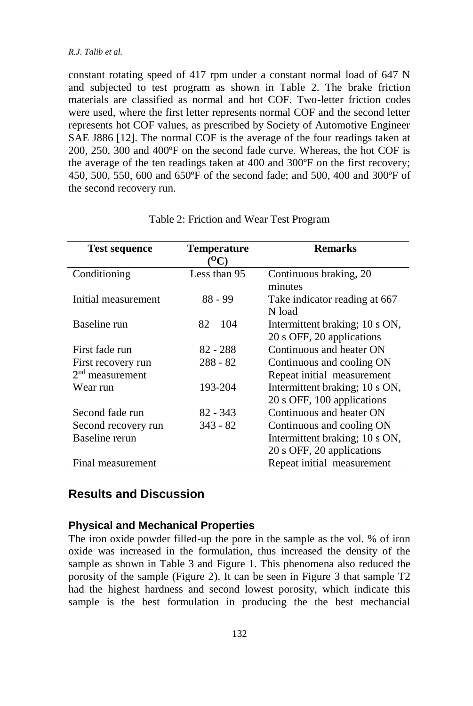#### *R.J. Talib et al.*

constant rotating speed of 417 rpm under a constant normal load of 647 N and subjected to test program as shown in Table 2. The brake friction materials are classified as normal and hot COF. Two-letter friction codes were used, where the first letter represents normal COF and the second letter represents hot COF values, as prescribed by Society of Automotive Engineer SAE J886 [12]. The normal COF is the average of the four readings taken at 200, 250, 300 and 400ºF on the second fade curve. Whereas, the hot COF is the average of the ten readings taken at 400 and 300ºF on the first recovery; 450, 500, 550, 600 and 650ºF of the second fade; and 500, 400 and 300ºF of the second recovery run.

| <b>Test sequence</b> | <b>Temperature</b><br>$\alpha$ പ | <b>Remarks</b>                                              |
|----------------------|----------------------------------|-------------------------------------------------------------|
| Conditioning         | Less than 95                     | Continuous braking, 20<br>minutes                           |
| Initial measurement  | $88 - 99$                        | Take indicator reading at 667<br>N load                     |
| Baseline run         | $82 - 104$                       | Intermittent braking; 10 s ON,<br>20 s OFF, 20 applications |
| First fade run       | 82 - 288                         | Continuous and heater ON                                    |
| First recovery run   | $288 - 82$                       | Continuous and cooling ON                                   |
| $2nd$ measurement    |                                  | Repeat initial measurement                                  |
| Wear run             | 193-204                          | Intermittent braking; 10 s ON,                              |
|                      |                                  | 20 s OFF, 100 applications                                  |
| Second fade run      | $82 - 343$                       | Continuous and heater ON                                    |
| Second recovery run  | $343 - 82$                       | Continuous and cooling ON                                   |
| Baseline rerun       |                                  | Intermittent braking; 10 s ON,                              |
|                      |                                  | 20 s OFF, 20 applications                                   |
| Final measurement    |                                  | Repeat initial measurement                                  |

#### Table 2: Friction and Wear Test Program

# **Results and Discussion**

#### **Physical and Mechanical Properties**

The iron oxide powder filled-up the pore in the sample as the vol. % of iron oxide was increased in the formulation, thus increased the density of the sample as shown in Table 3 and Figure 1. This phenomena also reduced the porosity of the sample (Figure 2). It can be seen in Figure 3 that sample T2 had the highest hardness and second lowest porosity, which indicate this sample is the best formulation in producing the the best mechancial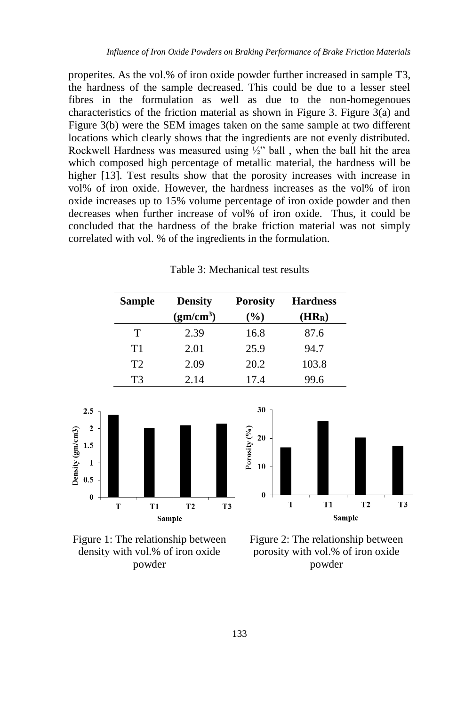properites. As the vol.% of iron oxide powder further increased in sample T3, the hardness of the sample decreased. This could be due to a lesser steel fibres in the formulation as well as due to the non-homegenoues characteristics of the friction material as shown in Figure 3. Figure 3(a) and Figure 3(b) were the SEM images taken on the same sample at two different locations which clearly shows that the ingredients are not evenly distributed. Rockwell Hardness was measured using  $\frac{1}{2}$ " ball, when the ball hit the area which composed high percentage of metallic material, the hardness will be higher [13]. Test results show that the porosity increases with increase in vol% of iron oxide. However, the hardness increases as the vol% of iron oxide increases up to 15% volume percentage of iron oxide powder and then decreases when further increase of vol% of iron oxide. Thus, it could be concluded that the hardness of the brake friction material was not simply correlated with vol. % of the ingredients in the formulation.

| <b>Sample</b>  | <b>Density</b>        | <b>Porosity</b> | <b>Hardness</b> |
|----------------|-----------------------|-----------------|-----------------|
|                | (gm/cm <sup>3</sup> ) | (%)             | $(HR_R)$        |
| т              | 2.39                  | 16.8            | 87.6            |
| T1             | 2.01                  | 25.9            | 94.7            |
| T <sub>2</sub> | 2.09                  | 20.2            | 103.8           |
| T <sub>3</sub> | 2.14                  | 17.4            | 99.6            |
|                |                       |                 |                 |
|                |                       | 30              |                 |

orosity (%)  $\overline{20}$ 

 $10$ 

 $\mathbf{0}$ 

T







 $T<sub>1</sub>$ 

Sample

 $T<sub>2</sub>$ 

T<sub>3</sub>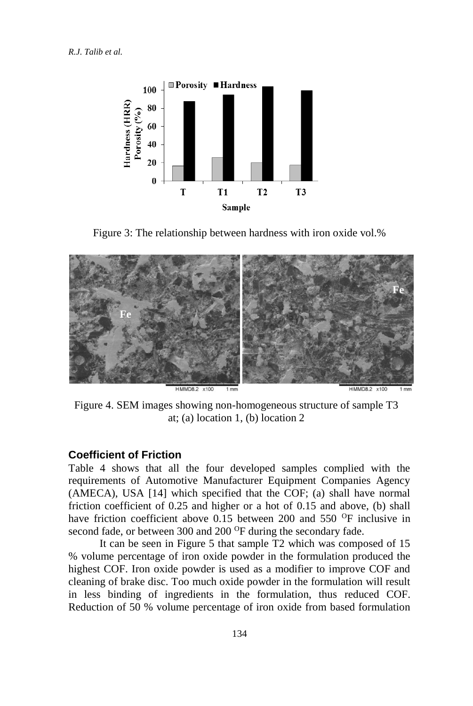

Figure 3: The relationship between hardness with iron oxide vol.%



Figure 4. SEM images showing non-homogeneous structure of sample T3 at; (a) location 1, (b) location 2

#### **Coefficient of Friction**

Table 4 shows that all the four developed samples complied with the requirements of Automotive Manufacturer Equipment Companies Agency (AMECA), USA [14] which specified that the COF; (a) shall have normal friction coefficient of 0.25 and higher or a hot of 0.15 and above, (b) shall have friction coefficient above 0.15 between 200 and 550 <sup>O</sup>F inclusive in second fade, or between 300 and 200 <sup>O</sup>F during the secondary fade.

It can be seen in Figure 5 that sample T2 which was composed of 15 % volume percentage of iron oxide powder in the formulation produced the highest COF. Iron oxide powder is used as a modifier to improve COF and cleaning of brake disc. Too much oxide powder in the formulation will result in less binding of ingredients in the formulation, thus reduced COF. Reduction of 50 % volume percentage of iron oxide from based formulation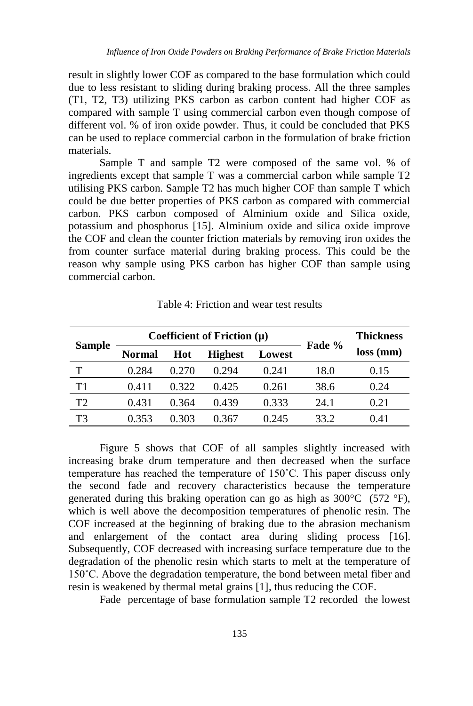result in slightly lower COF as compared to the base formulation which could due to less resistant to sliding during braking process. All the three samples (T1, T2, T3) utilizing PKS carbon as carbon content had higher COF as compared with sample T using commercial carbon even though compose of different vol. % of iron oxide powder. Thus, it could be concluded that PKS can be used to replace commercial carbon in the formulation of brake friction materials.

Sample T and sample T2 were composed of the same vol. % of ingredients except that sample T was a commercial carbon while sample T2 utilising PKS carbon. Sample T2 has much higher COF than sample T which could be due better properties of PKS carbon as compared with commercial carbon. PKS carbon composed of Alminium oxide and Silica oxide, potassium and phosphorus [15]. Alminium oxide and silica oxide improve the COF and clean the counter friction materials by removing iron oxides the from counter surface material during braking process. This could be the reason why sample using PKS carbon has higher COF than sample using commercial carbon.

| <b>Sample</b>  | Coefficient of Friction $(\mu)$ |       |                |        | Fade % | <b>Thickness</b> |
|----------------|---------------------------------|-------|----------------|--------|--------|------------------|
|                | Normal                          | Hot   | <b>Highest</b> | Lowest |        | $loss$ (mm)      |
| т              | 0.284                           | 0.270 | 0.294          | 0.241  | 18.0   | 0.15             |
| T <sub>1</sub> | 0.411                           | 0.322 | 0.425          | 0.261  | 38.6   | 0.24             |
| T2             | 0.431                           | 0.364 | 0.439          | 0.333  | 24.1   | 0.21             |
| T3             | 0.353                           | 0.303 | 0.367          | 0.245  | 33.2   | 0.41             |

Table 4: Friction and wear test results

Figure 5 shows that COF of all samples slightly increased with increasing brake drum temperature and then decreased when the surface temperature has reached the temperature of 150˚C. This paper discuss only the second fade and recovery characteristics because the temperature generated during this braking operation can go as high as 300°C (572 °F), which is well above the decomposition temperatures of phenolic resin. The COF increased at the beginning of braking due to the abrasion mechanism and enlargement of the contact area during sliding process [16]. Subsequently, COF decreased with increasing surface temperature due to the degradation of the phenolic resin which starts to melt at the temperature of 150˚C. Above the degradation temperature, the bond between metal fiber and resin is weakened by thermal metal grains [1], thus reducing the COF.

Fade percentage of base formulation sample T2 recorded the lowest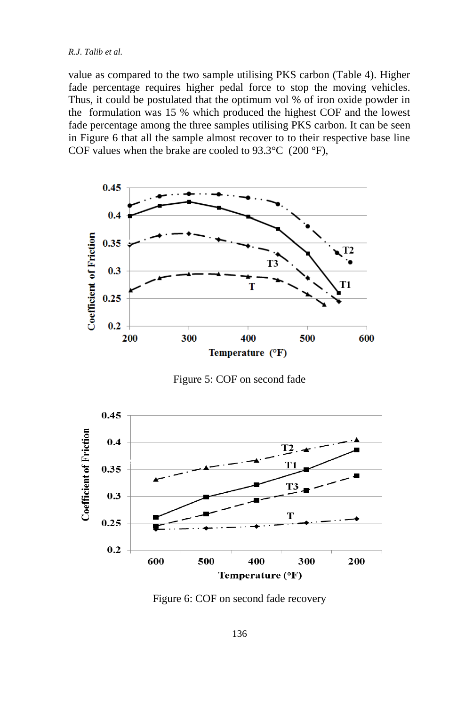value as compared to the two sample utilising PKS carbon (Table 4). Higher fade percentage requires higher pedal force to stop the moving vehicles. Thus, it could be postulated that the optimum vol % of iron oxide powder in the formulation was 15 % which produced the highest COF and the lowest fade percentage among the three samples utilising PKS carbon. It can be seen in Figure 6 that all the sample almost recover to to their respective base line COF values when the brake are cooled to  $93.3^{\circ}$ C (200  $^{\circ}$ F),



Figure 5: COF on second fade



Figure 6: COF on second fade recovery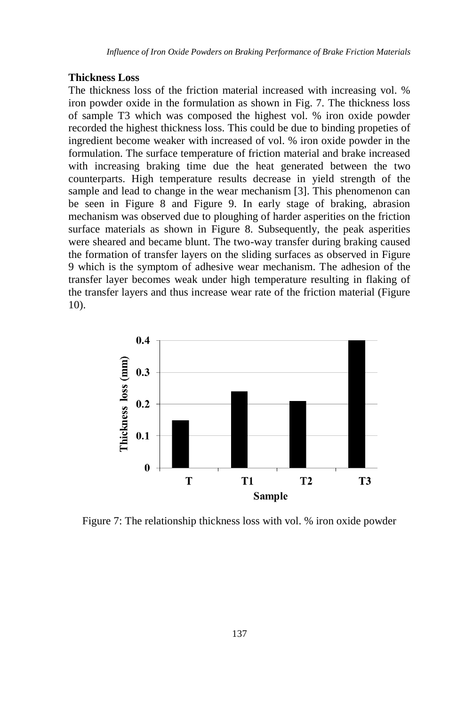#### **Thickness Loss**

The thickness loss of the friction material increased with increasing vol. % iron powder oxide in the formulation as shown in Fig. 7. The thickness loss of sample T3 which was composed the highest vol. % iron oxide powder recorded the highest thickness loss. This could be due to binding propeties of ingredient become weaker with increased of vol. % iron oxide powder in the formulation. The surface temperature of friction material and brake increased with increasing braking time due the heat generated between the two counterparts. High temperature results decrease in yield strength of the sample and lead to change in the wear mechanism [3]. This phenomenon can be seen in Figure 8 and Figure 9. In early stage of braking, abrasion mechanism was observed due to ploughing of harder asperities on the friction surface materials as shown in Figure 8. Subsequently, the peak asperities were sheared and became blunt. The two-way transfer during braking caused the formation of transfer layers on the sliding surfaces as observed in Figure 9 which is the symptom of adhesive wear mechanism. The adhesion of the transfer layer becomes weak under high temperature resulting in flaking of the transfer layers and thus increase wear rate of the friction material (Figure 10).



Figure 7: The relationship thickness loss with vol. % iron oxide powder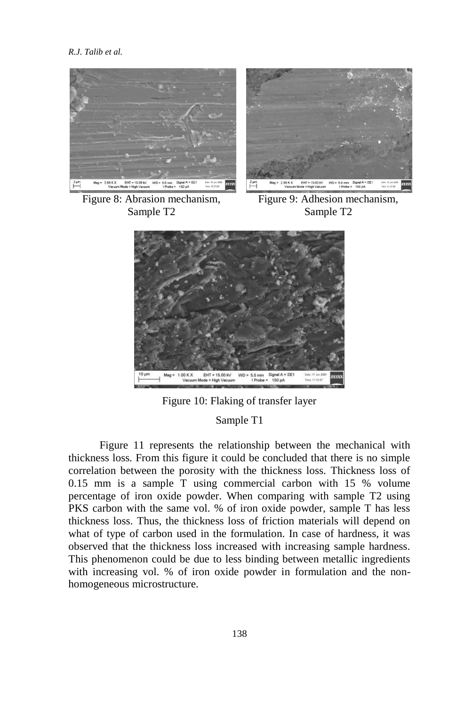

Figure 8: Abrasion mechanism, Sample T2

Figure 9: Adhesion mechanism, Sample T2



Figure 10: Flaking of transfer layer

### Sample T1

Figure 11 represents the relationship between the mechanical with thickness loss. From this figure it could be concluded that there is no simple correlation between the porosity with the thickness loss. Thickness loss of 0.15 mm is a sample T using commercial carbon with 15 % volume percentage of iron oxide powder. When comparing with sample T2 using PKS carbon with the same vol. % of iron oxide powder, sample T has less thickness loss. Thus, the thickness loss of friction materials will depend on what of type of carbon used in the formulation. In case of hardness, it was observed that the thickness loss increased with increasing sample hardness. This phenomenon could be due to less binding between metallic ingredients with increasing vol. % of iron oxide powder in formulation and the nonhomogeneous microstructure.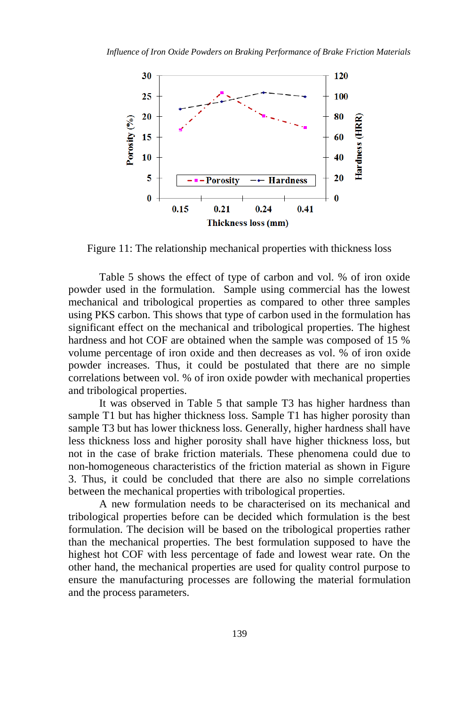

Figure 11: The relationship mechanical properties with thickness loss

Table 5 shows the effect of type of carbon and vol. % of iron oxide powder used in the formulation. Sample using commercial has the lowest mechanical and tribological properties as compared to other three samples using PKS carbon. This shows that type of carbon used in the formulation has significant effect on the mechanical and tribological properties. The highest hardness and hot COF are obtained when the sample was composed of 15 % volume percentage of iron oxide and then decreases as vol. % of iron oxide powder increases. Thus, it could be postulated that there are no simple correlations between vol. % of iron oxide powder with mechanical properties and tribological properties.

It was observed in Table 5 that sample T3 has higher hardness than sample T1 but has higher thickness loss. Sample T1 has higher porosity than sample T3 but has lower thickness loss. Generally, higher hardness shall have less thickness loss and higher porosity shall have higher thickness loss, but not in the case of brake friction materials. These phenomena could due to non-homogeneous characteristics of the friction material as shown in Figure 3. Thus, it could be concluded that there are also no simple correlations between the mechanical properties with tribological properties.

A new formulation needs to be characterised on its mechanical and tribological properties before can be decided which formulation is the best formulation. The decision will be based on the tribological properties rather than the mechanical properties. The best formulation supposed to have the highest hot COF with less percentage of fade and lowest wear rate. On the other hand, the mechanical properties are used for quality control purpose to ensure the manufacturing processes are following the material formulation and the process parameters.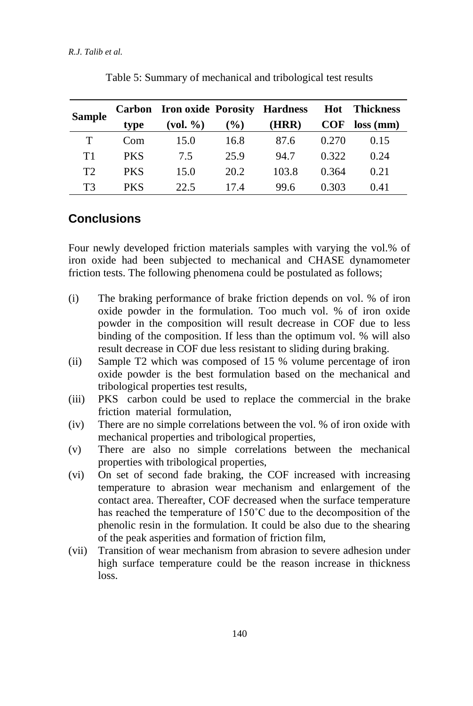| <b>Sample</b> |            | Carbon Iron oxide Porosity Hardness |               |       | Hot        | Thickness   |
|---------------|------------|-------------------------------------|---------------|-------|------------|-------------|
|               | type       | $\left(\text{vol. }\%$              | $\frac{9}{6}$ | (HRR) | <b>COF</b> | $loss$ (mm) |
| T             | Com        | 15.0                                | 16.8          | 87.6  | 0.270      | 0.15        |
| T1            | <b>PKS</b> | 7.5                                 | 25.9          | 94.7  | 0.322      | 0.24        |
| T2            | <b>PKS</b> | 15.0                                | 20.2          | 103.8 | 0.364      | 0.21        |
| ፐ3            | <b>PKS</b> | 22.5                                | 174           | 99.6  | 0.303      | 0.41        |

Table 5: Summary of mechanical and tribological test results

# **Conclusions**

Four newly developed friction materials samples with varying the vol.% of iron oxide had been subjected to mechanical and CHASE dynamometer friction tests. The following phenomena could be postulated as follows;

- (i) The braking performance of brake friction depends on vol. % of iron oxide powder in the formulation. Too much vol. % of iron oxide powder in the composition will result decrease in COF due to less binding of the composition. If less than the optimum vol. % will also result decrease in COF due less resistant to sliding during braking.
- (ii) Sample T2 which was composed of 15 % volume percentage of iron oxide powder is the best formulation based on the mechanical and tribological properties test results,
- (iii) PKS carbon could be used to replace the commercial in the brake friction material formulation,
- (iv) There are no simple correlations between the vol. % of iron oxide with mechanical properties and tribological properties,
- (v) There are also no simple correlations between the mechanical properties with tribological properties,
- (vi) On set of second fade braking, the COF increased with increasing temperature to abrasion wear mechanism and enlargement of the contact area. Thereafter, COF decreased when the surface temperature has reached the temperature of 150˚C due to the decomposition of the phenolic resin in the formulation. It could be also due to the shearing of the peak asperities and formation of friction film,
- (vii) Transition of wear mechanism from abrasion to severe adhesion under high surface temperature could be the reason increase in thickness loss.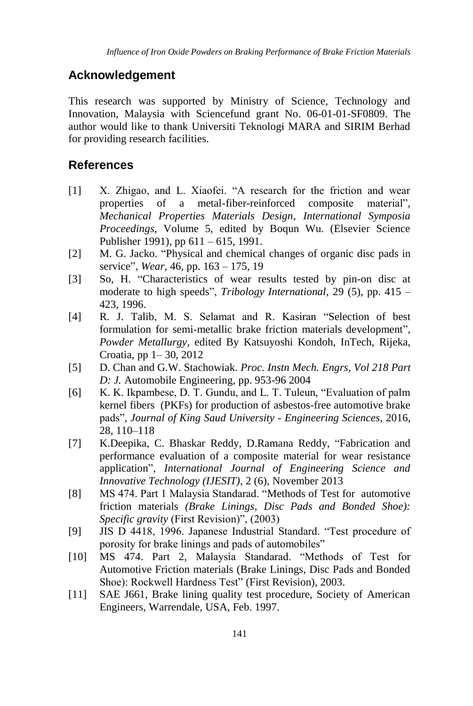# **Acknowledgement**

This research was supported by Ministry of Science, Technology and Innovation, Malaysia with Sciencefund grant No. 06-01-01-SF0809. The author would like to thank Universiti Teknologi MARA and SIRIM Berhad for providing research facilities.

# **References**

- [1] X. Zhigao, and L. Xiaofei. "A research for the friction and wear properties of a metal-fiber-reinforced composite material", *Mechanical Properties Materials Design, International Symposia Proceedings*, Volume 5, edited by Boqun Wu. (Elsevier Science Publisher 1991), pp 611 – 615, 1991.
- [2] M. G. Jacko. "Physical and chemical changes of organic disc pads in service", *Wear,* 46, pp. 163 – 175, 19
- [3] So, H. "Characteristics of wear results tested by pin-on disc at moderate to high speeds", *Tribology International,* 29 (5), pp. 415 – 423, 1996.
- [4] R. J. Talib, M. S. Selamat and R. Kasiran "Selection of best formulation for semi-metallic brake friction materials development", *Powder Metallurgy*, edited By Katsuyoshi Kondoh, InTech, Rijeka, Croatia, pp 1– 30, 2012
- [5] D. Chan and G.W. Stachowiak. *Proc. Instn Mech. Engrs, Vol 218 Part D: J.* Automobile Engineering, pp. 953-96 2004
- [6] K. K. Ikpambese, D. T. Gundu, and L. T. Tuleun, "Evaluation of palm kernel fibers (PKFs) for production of asbestos-free automotive brake pads", *Journal of King Saud University - Engineering Sciences*, 2016, 28, 110–118
- [7] K.Deepika, C. Bhaskar Reddy, D.Ramana Reddy, "Fabrication and performance evaluation of a composite material for wear resistance application", *International Journal of Engineering Science and Innovative Technology (IJESIT)*, 2 (6), November 2013
- [8] MS 474. Part 1 Malaysia Standarad. "Methods of Test for automotive friction materials *(Brake Linings, Disc Pads and Bonded Shoe): Specific gravity* (First Revision)", (2003)
- [9] JIS D 4418, 1996. Japanese Industrial Standard. "Test procedure of porosity for brake linings and pads of automobiles"
- [10] MS 474. Part 2, Malaysia Standarad. "Methods of Test for Automotive Friction materials (Brake Linings, Disc Pads and Bonded Shoe): Rockwell Hardness Test" (First Revision), 2003.
- [11] SAE J661, Brake lining quality test procedure, Society of American Engineers, Warrendale, USA, Feb. 1997.